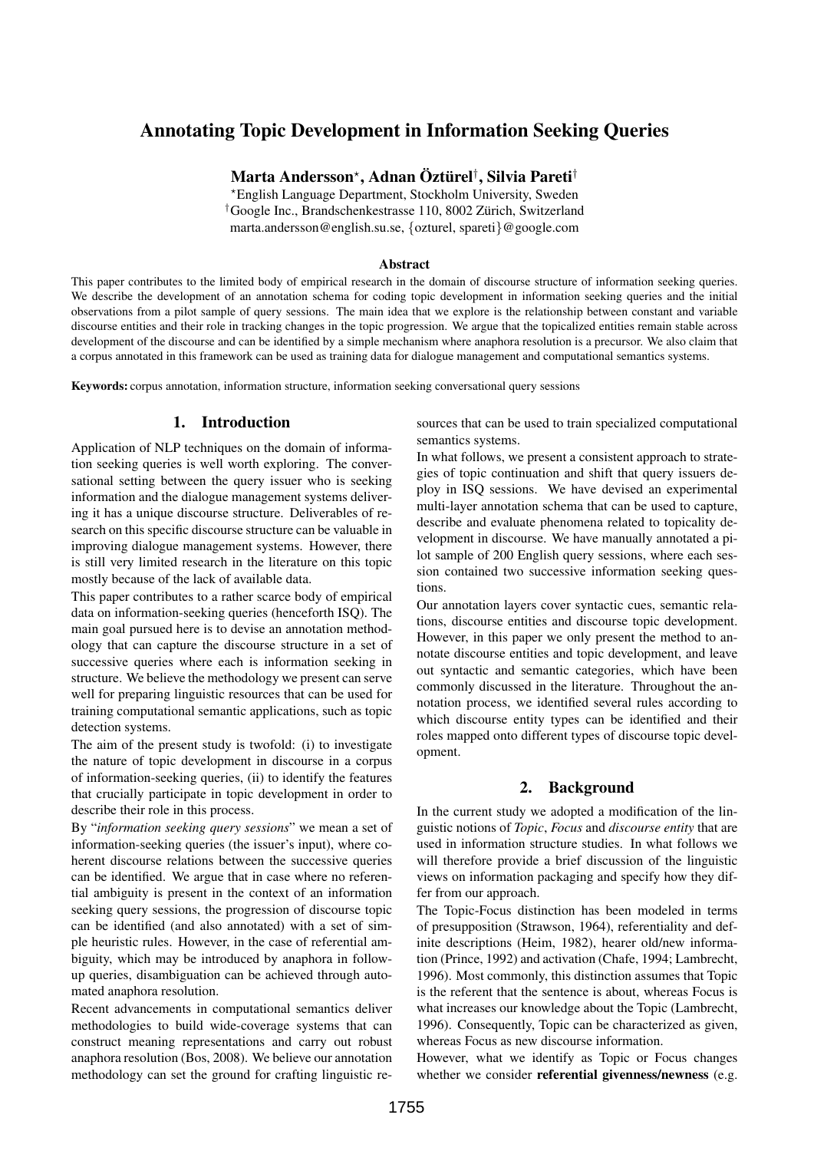# Annotating Topic Development in Information Seeking Queries

Marta Andersson\*, Adnan Öztürel<sup>†</sup>, Silvia Pareti<sup>†</sup>

?English Language Department, Stockholm University, Sweden <sup>†</sup>Google Inc., Brandschenkestrasse 110, 8002 Zürich, Switzerland marta.andersson@english.su.se, {ozturel, spareti}@google.com

#### Abstract

This paper contributes to the limited body of empirical research in the domain of discourse structure of information seeking queries. We describe the development of an annotation schema for coding topic development in information seeking queries and the initial observations from a pilot sample of query sessions. The main idea that we explore is the relationship between constant and variable discourse entities and their role in tracking changes in the topic progression. We argue that the topicalized entities remain stable across development of the discourse and can be identified by a simple mechanism where anaphora resolution is a precursor. We also claim that a corpus annotated in this framework can be used as training data for dialogue management and computational semantics systems.

Keywords: corpus annotation, information structure, information seeking conversational query sessions

### 1. Introduction

Application of NLP techniques on the domain of information seeking queries is well worth exploring. The conversational setting between the query issuer who is seeking information and the dialogue management systems delivering it has a unique discourse structure. Deliverables of research on this specific discourse structure can be valuable in improving dialogue management systems. However, there is still very limited research in the literature on this topic mostly because of the lack of available data.

This paper contributes to a rather scarce body of empirical data on information-seeking queries (henceforth ISQ). The main goal pursued here is to devise an annotation methodology that can capture the discourse structure in a set of successive queries where each is information seeking in structure. We believe the methodology we present can serve well for preparing linguistic resources that can be used for training computational semantic applications, such as topic detection systems.

The aim of the present study is twofold: (i) to investigate the nature of topic development in discourse in a corpus of information-seeking queries, (ii) to identify the features that crucially participate in topic development in order to describe their role in this process.

By "*information seeking query sessions*" we mean a set of information-seeking queries (the issuer's input), where coherent discourse relations between the successive queries can be identified. We argue that in case where no referential ambiguity is present in the context of an information seeking query sessions, the progression of discourse topic can be identified (and also annotated) with a set of simple heuristic rules. However, in the case of referential ambiguity, which may be introduced by anaphora in followup queries, disambiguation can be achieved through automated anaphora resolution.

Recent advancements in computational semantics deliver methodologies to build wide-coverage systems that can construct meaning representations and carry out robust anaphora resolution (Bos, 2008). We believe our annotation methodology can set the ground for crafting linguistic resources that can be used to train specialized computational semantics systems.

In what follows, we present a consistent approach to strategies of topic continuation and shift that query issuers deploy in ISQ sessions. We have devised an experimental multi-layer annotation schema that can be used to capture, describe and evaluate phenomena related to topicality development in discourse. We have manually annotated a pilot sample of 200 English query sessions, where each session contained two successive information seeking questions.

Our annotation layers cover syntactic cues, semantic relations, discourse entities and discourse topic development. However, in this paper we only present the method to annotate discourse entities and topic development, and leave out syntactic and semantic categories, which have been commonly discussed in the literature. Throughout the annotation process, we identified several rules according to which discourse entity types can be identified and their roles mapped onto different types of discourse topic development.

# 2. Background

In the current study we adopted a modification of the linguistic notions of *Topic*, *Focus* and *discourse entity* that are used in information structure studies. In what follows we will therefore provide a brief discussion of the linguistic views on information packaging and specify how they differ from our approach.

The Topic-Focus distinction has been modeled in terms of presupposition (Strawson, 1964), referentiality and definite descriptions (Heim, 1982), hearer old/new information (Prince, 1992) and activation (Chafe, 1994; Lambrecht, 1996). Most commonly, this distinction assumes that Topic is the referent that the sentence is about, whereas Focus is what increases our knowledge about the Topic (Lambrecht, 1996). Consequently, Topic can be characterized as given, whereas Focus as new discourse information.

However, what we identify as Topic or Focus changes whether we consider **referential givenness/newness** (e.g.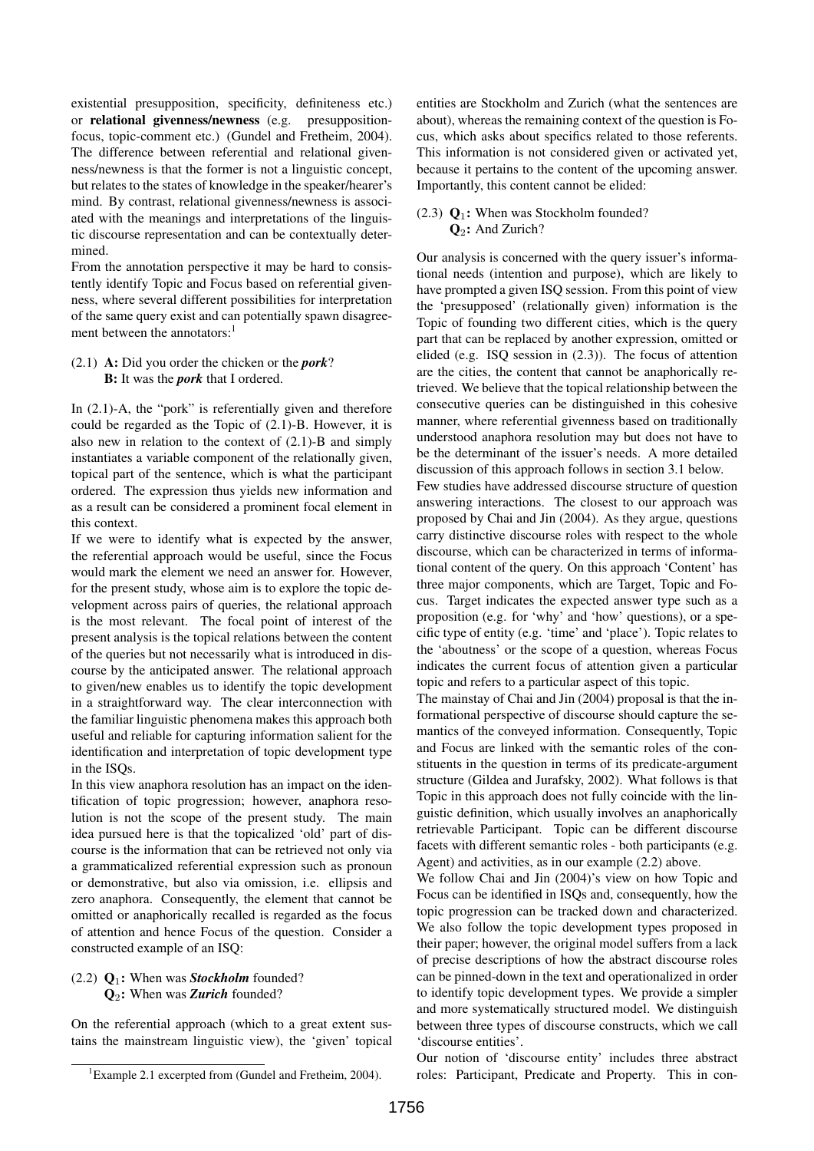existential presupposition, specificity, definiteness etc.) or relational givenness/newness (e.g. presuppositionfocus, topic-comment etc.) (Gundel and Fretheim, 2004). The difference between referential and relational givenness/newness is that the former is not a linguistic concept, but relates to the states of knowledge in the speaker/hearer's mind. By contrast, relational givenness/newness is associated with the meanings and interpretations of the linguistic discourse representation and can be contextually determined.

From the annotation perspective it may be hard to consistently identify Topic and Focus based on referential givenness, where several different possibilities for interpretation of the same query exist and can potentially spawn disagreement between the annotators:<sup>1</sup>

# (2.1) A: Did you order the chicken or the *pork*? B: It was the *pork* that I ordered.

In (2.1)-A, the "pork" is referentially given and therefore could be regarded as the Topic of (2.1)-B. However, it is also new in relation to the context of (2.1)-B and simply instantiates a variable component of the relationally given, topical part of the sentence, which is what the participant ordered. The expression thus yields new information and as a result can be considered a prominent focal element in this context.

If we were to identify what is expected by the answer, the referential approach would be useful, since the Focus would mark the element we need an answer for. However, for the present study, whose aim is to explore the topic development across pairs of queries, the relational approach is the most relevant. The focal point of interest of the present analysis is the topical relations between the content of the queries but not necessarily what is introduced in discourse by the anticipated answer. The relational approach to given/new enables us to identify the topic development in a straightforward way. The clear interconnection with the familiar linguistic phenomena makes this approach both useful and reliable for capturing information salient for the identification and interpretation of topic development type in the ISQs.

In this view anaphora resolution has an impact on the identification of topic progression; however, anaphora resolution is not the scope of the present study. The main idea pursued here is that the topicalized 'old' part of discourse is the information that can be retrieved not only via a grammaticalized referential expression such as pronoun or demonstrative, but also via omission, i.e. ellipsis and zero anaphora. Consequently, the element that cannot be omitted or anaphorically recalled is regarded as the focus of attention and hence Focus of the question. Consider a constructed example of an ISQ:

# (2.2) Q1: When was *Stockholm* founded? Q2: When was *Zurich* founded?

On the referential approach (which to a great extent sustains the mainstream linguistic view), the 'given' topical

<sup>1</sup>Example 2.1 excerpted from (Gundel and Fretheim, 2004).

entities are Stockholm and Zurich (what the sentences are about), whereas the remaining context of the question is Focus, which asks about specifics related to those referents. This information is not considered given or activated yet, because it pertains to the content of the upcoming answer. Importantly, this content cannot be elided:

### (2.3)  $\mathbf{Q}_1$ : When was Stockholm founded?  $\mathbf{Q}_2$ : And Zurich?

Our analysis is concerned with the query issuer's informational needs (intention and purpose), which are likely to have prompted a given ISQ session. From this point of view the 'presupposed' (relationally given) information is the Topic of founding two different cities, which is the query part that can be replaced by another expression, omitted or elided (e.g. ISQ session in (2.3)). The focus of attention are the cities, the content that cannot be anaphorically retrieved. We believe that the topical relationship between the consecutive queries can be distinguished in this cohesive manner, where referential givenness based on traditionally understood anaphora resolution may but does not have to be the determinant of the issuer's needs. A more detailed discussion of this approach follows in section 3.1 below.

Few studies have addressed discourse structure of question answering interactions. The closest to our approach was proposed by Chai and Jin (2004). As they argue, questions carry distinctive discourse roles with respect to the whole discourse, which can be characterized in terms of informational content of the query. On this approach 'Content' has three major components, which are Target, Topic and Focus. Target indicates the expected answer type such as a proposition (e.g. for 'why' and 'how' questions), or a specific type of entity (e.g. 'time' and 'place'). Topic relates to the 'aboutness' or the scope of a question, whereas Focus indicates the current focus of attention given a particular topic and refers to a particular aspect of this topic.

The mainstay of Chai and Jin (2004) proposal is that the informational perspective of discourse should capture the semantics of the conveyed information. Consequently, Topic and Focus are linked with the semantic roles of the constituents in the question in terms of its predicate-argument structure (Gildea and Jurafsky, 2002). What follows is that Topic in this approach does not fully coincide with the linguistic definition, which usually involves an anaphorically retrievable Participant. Topic can be different discourse facets with different semantic roles - both participants (e.g. Agent) and activities, as in our example (2.2) above.

We follow Chai and Jin (2004)'s view on how Topic and Focus can be identified in ISQs and, consequently, how the topic progression can be tracked down and characterized. We also follow the topic development types proposed in their paper; however, the original model suffers from a lack of precise descriptions of how the abstract discourse roles can be pinned-down in the text and operationalized in order to identify topic development types. We provide a simpler and more systematically structured model. We distinguish between three types of discourse constructs, which we call 'discourse entities'.

Our notion of 'discourse entity' includes three abstract roles: Participant, Predicate and Property. This in con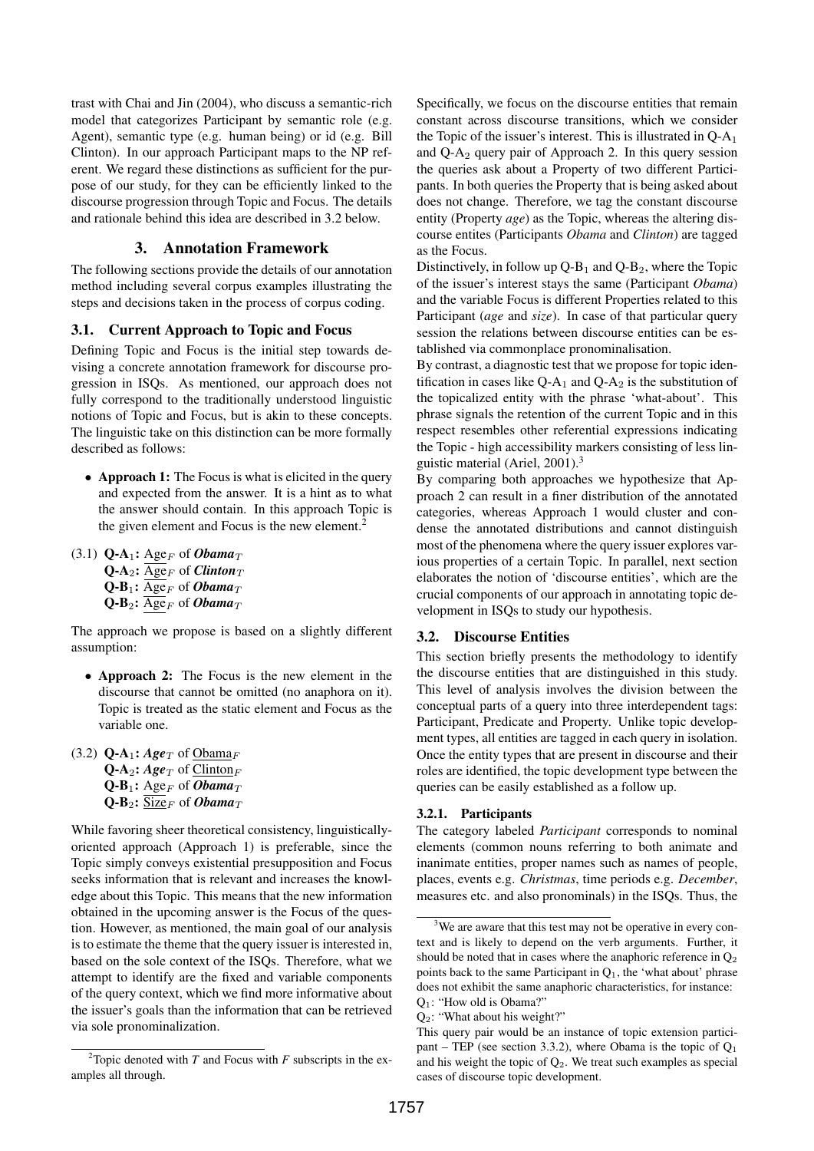trast with Chai and Jin (2004), who discuss a semantic-rich model that categorizes Participant by semantic role (e.g. Agent), semantic type (e.g. human being) or id (e.g. Bill Clinton). In our approach Participant maps to the NP referent. We regard these distinctions as sufficient for the purpose of our study, for they can be efficiently linked to the discourse progression through Topic and Focus. The details and rationale behind this idea are described in 3.2 below.

# 3. Annotation Framework

The following sections provide the details of our annotation method including several corpus examples illustrating the steps and decisions taken in the process of corpus coding.

#### 3.1. Current Approach to Topic and Focus

Defining Topic and Focus is the initial step towards devising a concrete annotation framework for discourse progression in ISQs. As mentioned, our approach does not fully correspond to the traditionally understood linguistic notions of Topic and Focus, but is akin to these concepts. The linguistic take on this distinction can be more formally described as follows:

- Approach 1: The Focus is what is elicited in the query and expected from the answer. It is a hint as to what the answer should contain. In this approach Topic is the given element and Focus is the new element.<sup>2</sup>
- $(3.1)$  **Q-A<sub>1</sub>:** Age<sub>F</sub> of *Obama*<sub>T</sub>  $Q-A_2$ :  $\overline{Age}_F$  of *Clinton*<sub>T</sub>  $Q-B_1$ :  $\overline{Age}_F$  of *Obama*<sub>T</sub>  $Q-B_2$ :  $\overline{Age}_F$  of *Obama*<sub>T</sub>

The approach we propose is based on a slightly different assumption:

- Approach 2: The Focus is the new element in the discourse that cannot be omitted (no anaphora on it). Topic is treated as the static element and Focus as the variable one.
- $(3.2)$  Q-A<sub>1</sub>: *Age*<sub>T</sub> of Obama<sub>F</sub>  $Q-A_2$ : *Age<sub>T</sub>* of Clinton<sub>F</sub>  $Q-B_1$ : Age<sub>F</sub> of *Obama*<sub>T</sub>  $Q-B_2$ :  $\overline{\text{Size}}_F$  of *Obama*<sub>T</sub>

While favoring sheer theoretical consistency, linguisticallyoriented approach (Approach 1) is preferable, since the Topic simply conveys existential presupposition and Focus seeks information that is relevant and increases the knowledge about this Topic. This means that the new information obtained in the upcoming answer is the Focus of the question. However, as mentioned, the main goal of our analysis is to estimate the theme that the query issuer is interested in, based on the sole context of the ISQs. Therefore, what we attempt to identify are the fixed and variable components of the query context, which we find more informative about the issuer's goals than the information that can be retrieved via sole pronominalization.

Specifically, we focus on the discourse entities that remain constant across discourse transitions, which we consider the Topic of the issuer's interest. This is illustrated in  $Q-A_1$ and  $Q-A_2$  query pair of Approach 2. In this query session the queries ask about a Property of two different Participants. In both queries the Property that is being asked about does not change. Therefore, we tag the constant discourse entity (Property *age*) as the Topic, whereas the altering discourse entites (Participants *Obama* and *Clinton*) are tagged as the Focus.

Distinctively, in follow up  $Q-B_1$  and  $Q-B_2$ , where the Topic of the issuer's interest stays the same (Participant *Obama*) and the variable Focus is different Properties related to this Participant (*age* and *size*). In case of that particular query session the relations between discourse entities can be established via commonplace pronominalisation.

By contrast, a diagnostic test that we propose for topic identification in cases like  $Q-A_1$  and  $Q-A_2$  is the substitution of the topicalized entity with the phrase 'what-about'. This phrase signals the retention of the current Topic and in this respect resembles other referential expressions indicating the Topic - high accessibility markers consisting of less linguistic material (Ariel, 2001).<sup>3</sup>

By comparing both approaches we hypothesize that Approach 2 can result in a finer distribution of the annotated categories, whereas Approach 1 would cluster and condense the annotated distributions and cannot distinguish most of the phenomena where the query issuer explores various properties of a certain Topic. In parallel, next section elaborates the notion of 'discourse entities', which are the crucial components of our approach in annotating topic development in ISQs to study our hypothesis.

# 3.2. Discourse Entities

This section briefly presents the methodology to identify the discourse entities that are distinguished in this study. This level of analysis involves the division between the conceptual parts of a query into three interdependent tags: Participant, Predicate and Property. Unlike topic development types, all entities are tagged in each query in isolation. Once the entity types that are present in discourse and their roles are identified, the topic development type between the queries can be easily established as a follow up.

### 3.2.1. Participants

The category labeled *Participant* corresponds to nominal elements (common nouns referring to both animate and inanimate entities, proper names such as names of people, places, events e.g. *Christmas*, time periods e.g. *December*, measures etc. and also pronominals) in the ISQs. Thus, the

<sup>&</sup>lt;sup>2</sup>Topic denoted with *T* and Focus with *F* subscripts in the examples all through.

<sup>&</sup>lt;sup>3</sup>We are aware that this test may not be operative in every context and is likely to depend on the verb arguments. Further, it should be noted that in cases where the anaphoric reference in  $Q_2$ points back to the same Participant in  $Q_1$ , the 'what about' phrase does not exhibit the same anaphoric characteristics, for instance: Q1: "How old is Obama?"

Q2: "What about his weight?"

This query pair would be an instance of topic extension participant – TEP (see section 3.3.2), where Obama is the topic of  $Q_1$ and his weight the topic of  $Q_2$ . We treat such examples as special cases of discourse topic development.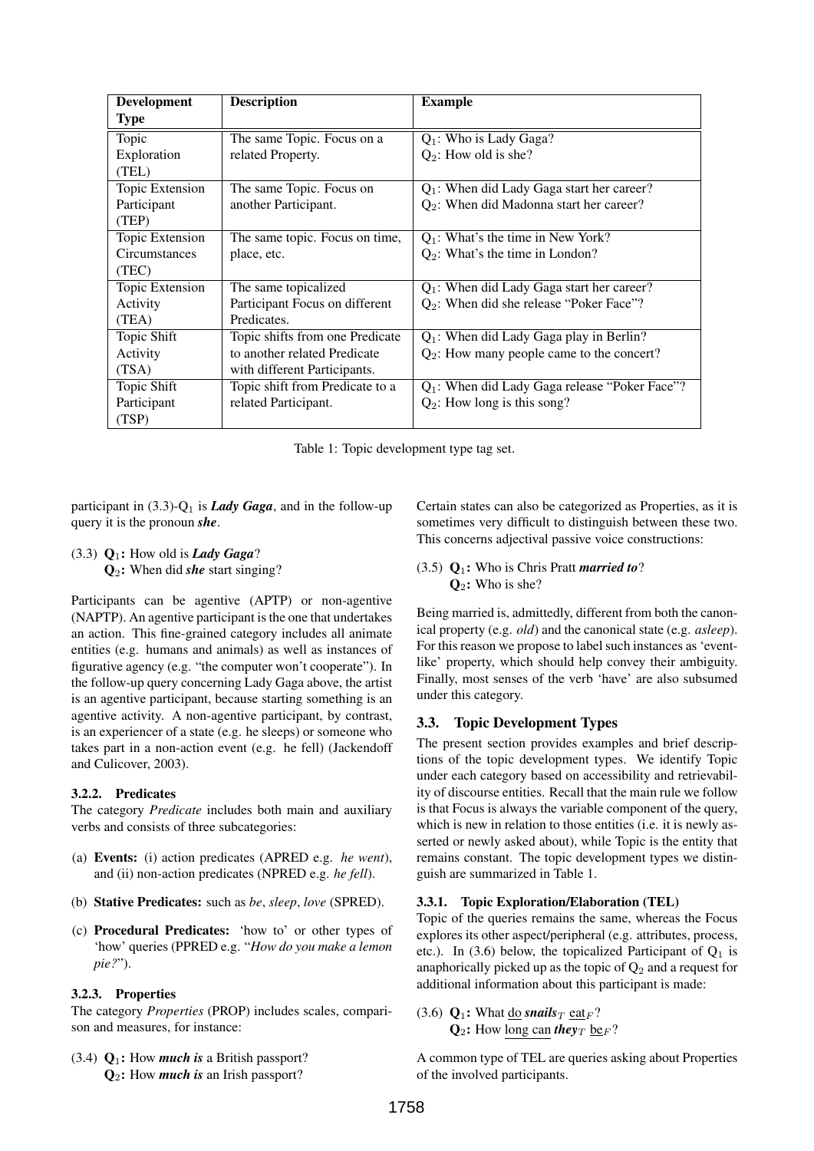| <b>Development</b>   | <b>Description</b>              | <b>Example</b>                                   |
|----------------------|---------------------------------|--------------------------------------------------|
| <b>Type</b>          |                                 |                                                  |
| Topic                | The same Topic. Focus on a      | $Q_1$ : Who is Lady Gaga?                        |
| Exploration          | related Property.               | $Q_2$ : How old is she?                          |
| (TEL)                |                                 |                                                  |
| Topic Extension      | The same Topic. Focus on        | $Q_1$ : When did Lady Gaga start her career?     |
| Participant          | another Participant.            | $Q_2$ : When did Madonna start her career?       |
| (TEP)                |                                 |                                                  |
| Topic Extension      | The same topic. Focus on time,  | $Q_1$ : What's the time in New York?             |
| <b>Circumstances</b> | place, etc.                     | $Q_2$ : What's the time in London?               |
| (TEC)                |                                 |                                                  |
| Topic Extension      | The same topicalized            | $Q_1$ : When did Lady Gaga start her career?     |
| Activity             | Participant Focus on different  | $Q_2$ : When did she release "Poker Face"?       |
| (TEA)                | Predicates.                     |                                                  |
| Topic Shift          | Topic shifts from one Predicate | $Q_1$ : When did Lady Gaga play in Berlin?       |
| Activity             | to another related Predicate    | $Q_2$ : How many people came to the concert?     |
| (TSA)                | with different Participants.    |                                                  |
| Topic Shift          | Topic shift from Predicate to a | $Q_1$ : When did Lady Gaga release "Poker Face"? |
| Participant          | related Participant.            | $Q_2$ : How long is this song?                   |
| (TSP)                |                                 |                                                  |

Table 1: Topic development type tag set.

participant in  $(3.3)-Q_1$  is *Lady Gaga*, and in the follow-up query it is the pronoun *she*.

 $(3.3)$   $Q_1$ : How old is *Lady Gaga*? Q2: When did *she* start singing?

Participants can be agentive (APTP) or non-agentive (NAPTP). An agentive participant is the one that undertakes an action. This fine-grained category includes all animate entities (e.g. humans and animals) as well as instances of figurative agency (e.g. "the computer won't cooperate"). In the follow-up query concerning Lady Gaga above, the artist is an agentive participant, because starting something is an agentive activity. A non-agentive participant, by contrast, is an experiencer of a state (e.g. he sleeps) or someone who takes part in a non-action event (e.g. he fell) (Jackendoff and Culicover, 2003).

# 3.2.2. Predicates

The category *Predicate* includes both main and auxiliary verbs and consists of three subcategories:

- (a) Events: (i) action predicates (APRED e.g. *he went*), and (ii) non-action predicates (NPRED e.g. *he fell*).
- (b) Stative Predicates: such as *be*, *sleep*, *love* (SPRED).
- (c) Procedural Predicates: 'how to' or other types of 'how' queries (PPRED e.g. "*How do you make a lemon pie?*").

# 3.2.3. Properties

The category *Properties* (PROP) includes scales, comparison and measures, for instance:

(3.4) Q1: How *much is* a British passport? Q<sub>2</sub>: How *much is* an Irish passport?

Certain states can also be categorized as Properties, as it is sometimes very difficult to distinguish between these two. This concerns adjectival passive voice constructions:

# (3.5) Q1: Who is Chris Pratt *married to*?  $\mathbf{Q}_2$ : Who is she?

Being married is, admittedly, different from both the canonical property (e.g. *old*) and the canonical state (e.g. *asleep*). For this reason we propose to label such instances as 'eventlike' property, which should help convey their ambiguity. Finally, most senses of the verb 'have' are also subsumed under this category.

# 3.3. Topic Development Types

The present section provides examples and brief descriptions of the topic development types. We identify Topic under each category based on accessibility and retrievability of discourse entities. Recall that the main rule we follow is that Focus is always the variable component of the query, which is new in relation to those entities (i.e. it is newly asserted or newly asked about), while Topic is the entity that remains constant. The topic development types we distinguish are summarized in Table 1.

# 3.3.1. Topic Exploration/Elaboration (TEL)

Topic of the queries remains the same, whereas the Focus explores its other aspect/peripheral (e.g. attributes, process, etc.). In (3.6) below, the topicalized Participant of  $Q_1$  is anaphorically picked up as the topic of  $Q_2$  and a request for additional information about this participant is made:

(3.6)  $\mathbf{Q}_1$ : What do *snails*  $_T$  eat<sub>F</sub>?  $\mathbf{Q}_2$ : How long can *they*  $\gamma$  be<sub>F</sub>?

A common type of TEL are queries asking about Properties of the involved participants.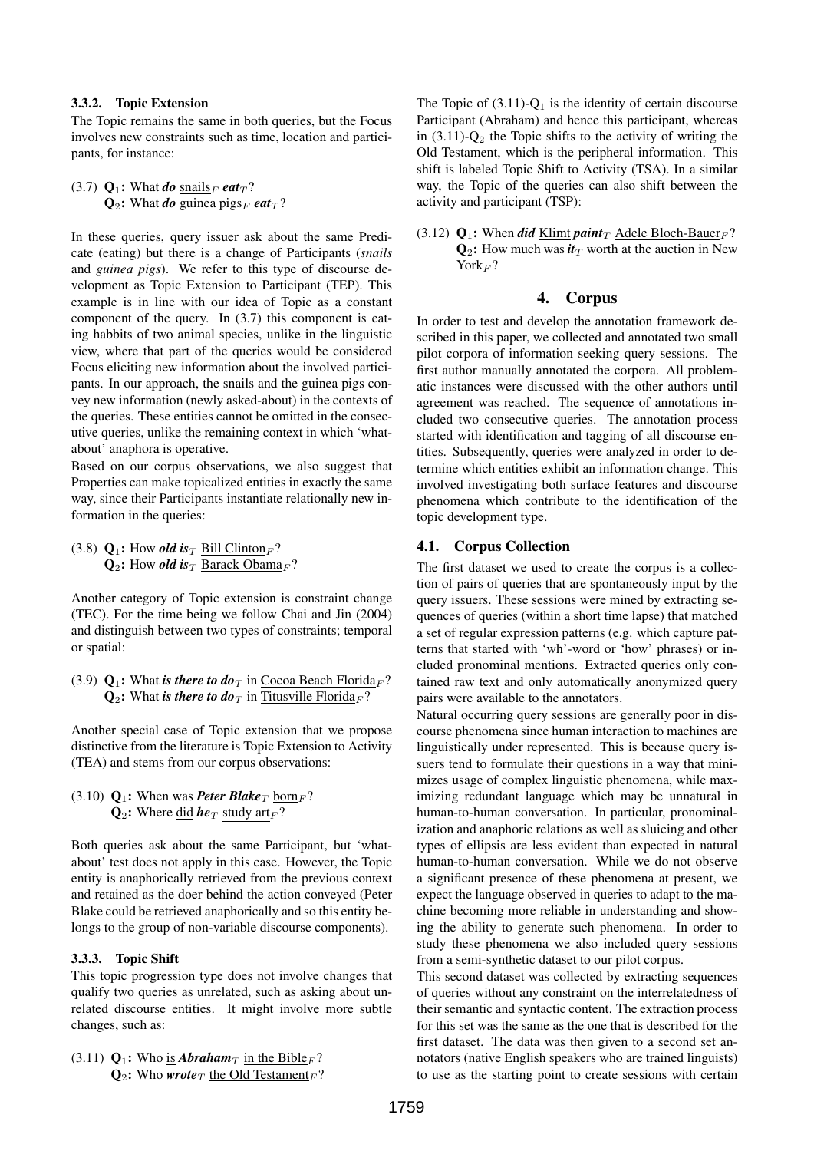#### 3.3.2. Topic Extension

The Topic remains the same in both queries, but the Focus involves new constraints such as time, location and participants, for instance:

(3.7)  $\mathbf{Q}_1$ : What *do* snails<sub>F</sub> *eat*<sub>T</sub>?  $Q_2$ : What *do* guinea pigs<sub>F</sub> eat<sub>T</sub>?

In these queries, query issuer ask about the same Predicate (eating) but there is a change of Participants (*snails* and *guinea pigs*). We refer to this type of discourse development as Topic Extension to Participant (TEP). This example is in line with our idea of Topic as a constant component of the query. In (3.7) this component is eating habbits of two animal species, unlike in the linguistic view, where that part of the queries would be considered Focus eliciting new information about the involved participants. In our approach, the snails and the guinea pigs convey new information (newly asked-about) in the contexts of the queries. These entities cannot be omitted in the consecutive queries, unlike the remaining context in which 'whatabout' anaphora is operative.

Based on our corpus observations, we also suggest that Properties can make topicalized entities in exactly the same way, since their Participants instantiate relationally new information in the queries:

(3.8)  $Q_1$ : How *old is*  $\tau$  Bill Clinton  $\theta$ ?  $Q_2$ : How *old is*<sub>T</sub> Barack Obama<sub>F</sub>?

Another category of Topic extension is constraint change (TEC). For the time being we follow Chai and Jin (2004) and distinguish between two types of constraints; temporal or spatial:

(3.9)  $\mathbf{Q}_1$ : What *is there to do*<sub>T</sub> in Cocoa Beach Florida<sub>F</sub>?  $\mathbf{Q}_2$ : What *is there to do* $\tau$  in Titusville Florida<sub>F</sub>?

Another special case of Topic extension that we propose distinctive from the literature is Topic Extension to Activity (TEA) and stems from our corpus observations:

(3.10)  $\mathbf{Q}_1$ : When was *Peter Blake*<sub>T</sub> born<sub>F</sub>?  $\mathbf{Q}_2$ : Where did **he**<sub>T</sub> study art<sub>F</sub>?

Both queries ask about the same Participant, but 'whatabout' test does not apply in this case. However, the Topic entity is anaphorically retrieved from the previous context and retained as the doer behind the action conveyed (Peter Blake could be retrieved anaphorically and so this entity belongs to the group of non-variable discourse components).

### 3.3.3. Topic Shift

This topic progression type does not involve changes that qualify two queries as unrelated, such as asking about unrelated discourse entities. It might involve more subtle changes, such as:

(3.11)  $Q_1$ : Who is *Abraham<sub>T</sub>* in the Bible<sub>F</sub>?  $\mathbf{Q}_2$ : Who *wrote*<sub>T</sub> the Old Testament<sub>F</sub>? The Topic of  $(3.11)$ -Q<sub>1</sub> is the identity of certain discourse Participant (Abraham) and hence this participant, whereas in  $(3.11)$ - $Q_2$  the Topic shifts to the activity of writing the Old Testament, which is the peripheral information. This shift is labeled Topic Shift to Activity (TSA). In a similar way, the Topic of the queries can also shift between the activity and participant (TSP):

(3.12)  $Q_1$ : When *did* Klimt *paint*<sub>T</sub> Adele Bloch-Bauer<sub>F</sub>?  $Q_2$ : How much was  $\dot{t}_T$  worth at the auction in New  $\text{York}_F$ ?

#### 4. Corpus

In order to test and develop the annotation framework described in this paper, we collected and annotated two small pilot corpora of information seeking query sessions. The first author manually annotated the corpora. All problematic instances were discussed with the other authors until agreement was reached. The sequence of annotations included two consecutive queries. The annotation process started with identification and tagging of all discourse entities. Subsequently, queries were analyzed in order to determine which entities exhibit an information change. This involved investigating both surface features and discourse phenomena which contribute to the identification of the topic development type.

# 4.1. Corpus Collection

The first dataset we used to create the corpus is a collection of pairs of queries that are spontaneously input by the query issuers. These sessions were mined by extracting sequences of queries (within a short time lapse) that matched a set of regular expression patterns (e.g. which capture patterns that started with 'wh'-word or 'how' phrases) or included pronominal mentions. Extracted queries only contained raw text and only automatically anonymized query pairs were available to the annotators.

Natural occurring query sessions are generally poor in discourse phenomena since human interaction to machines are linguistically under represented. This is because query issuers tend to formulate their questions in a way that minimizes usage of complex linguistic phenomena, while maximizing redundant language which may be unnatural in human-to-human conversation. In particular, pronominalization and anaphoric relations as well as sluicing and other types of ellipsis are less evident than expected in natural human-to-human conversation. While we do not observe a significant presence of these phenomena at present, we expect the language observed in queries to adapt to the machine becoming more reliable in understanding and showing the ability to generate such phenomena. In order to study these phenomena we also included query sessions from a semi-synthetic dataset to our pilot corpus.

This second dataset was collected by extracting sequences of queries without any constraint on the interrelatedness of their semantic and syntactic content. The extraction process for this set was the same as the one that is described for the first dataset. The data was then given to a second set annotators (native English speakers who are trained linguists) to use as the starting point to create sessions with certain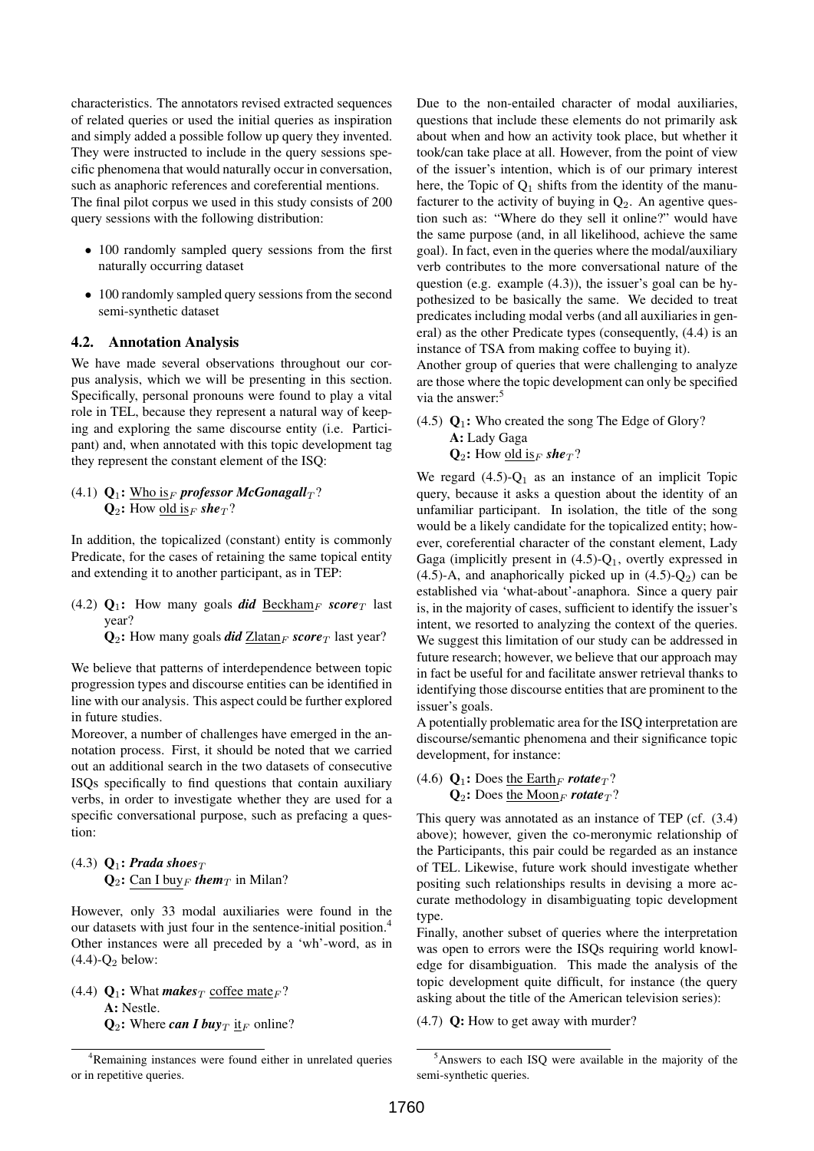characteristics. The annotators revised extracted sequences of related queries or used the initial queries as inspiration and simply added a possible follow up query they invented. They were instructed to include in the query sessions specific phenomena that would naturally occur in conversation, such as anaphoric references and coreferential mentions.

The final pilot corpus we used in this study consists of 200 query sessions with the following distribution:

- 100 randomly sampled query sessions from the first naturally occurring dataset
- 100 randomly sampled query sessions from the second semi-synthetic dataset

### 4.2. Annotation Analysis

We have made several observations throughout our corpus analysis, which we will be presenting in this section. Specifically, personal pronouns were found to play a vital role in TEL, because they represent a natural way of keeping and exploring the same discourse entity (i.e. Participant) and, when annotated with this topic development tag they represent the constant element of the ISQ:

(4.1)  $Q_1$ : Who is<sub>F</sub> professor McGonagall<sub>T</sub>?  $\mathbf{Q}_2$ : How old is<sub>F</sub> she<sub>T</sub>?

In addition, the topicalized (constant) entity is commonly Predicate, for the cases of retaining the same topical entity and extending it to another participant, as in TEP:

(4.2)  $Q_1$ : How many goals *did* Beckham<sub>F</sub> score<sub>T</sub> last year?

 $Q_2$ : How many goals *did* Zlatan<sub>F</sub> score<sub>T</sub> last year?

We believe that patterns of interdependence between topic progression types and discourse entities can be identified in line with our analysis. This aspect could be further explored in future studies.

Moreover, a number of challenges have emerged in the annotation process. First, it should be noted that we carried out an additional search in the two datasets of consecutive ISQs specifically to find questions that contain auxiliary verbs, in order to investigate whether they are used for a specific conversational purpose, such as prefacing a question:

# (4.3)  $\mathbf{Q}_1$ : *Prada shoes*<sub>T</sub>  $Q_2$ : Can I buy<sub>F</sub> them<sub>T</sub> in Milan?

However, only 33 modal auxiliaries were found in the our datasets with just four in the sentence-initial position.<sup>4</sup> Other instances were all preceded by a 'wh'-word, as in  $(4.4)-Q<sub>2</sub>$  below:

(4.4)  $\mathbf{Q}_1$ : What *makes*  $\tau$  coffee mate  $\mathbf{F}$ ? A: Nestle.  $Q_2$ : Where *can I buy*  $\pi$  it<sub>F</sub> online? Due to the non-entailed character of modal auxiliaries, questions that include these elements do not primarily ask about when and how an activity took place, but whether it took/can take place at all. However, from the point of view of the issuer's intention, which is of our primary interest here, the Topic of  $Q_1$  shifts from the identity of the manufacturer to the activity of buying in  $Q_2$ . An agentive question such as: "Where do they sell it online?" would have the same purpose (and, in all likelihood, achieve the same goal). In fact, even in the queries where the modal/auxiliary verb contributes to the more conversational nature of the question (e.g. example (4.3)), the issuer's goal can be hypothesized to be basically the same. We decided to treat predicates including modal verbs (and all auxiliaries in general) as the other Predicate types (consequently, (4.4) is an instance of TSA from making coffee to buying it).

Another group of queries that were challenging to analyze are those where the topic development can only be specified via the answer:<sup>5</sup>

(4.5)  $\mathbf{Q}_1$ : Who created the song The Edge of Glory? A: Lady Gaga  $\mathbf{Q}_2$ : How <u>old is</u> *she*<sup>7</sup>?

We regard  $(4.5)$ - $Q_1$  as an instance of an implicit Topic query, because it asks a question about the identity of an unfamiliar participant. In isolation, the title of the song would be a likely candidate for the topicalized entity; however, coreferential character of the constant element, Lady Gaga (implicitly present in  $(4.5)-Q_1$ , overtly expressed in (4.5)-A, and anaphorically picked up in  $(4.5)-Q_2$ ) can be established via 'what-about'-anaphora. Since a query pair is, in the majority of cases, sufficient to identify the issuer's intent, we resorted to analyzing the context of the queries. We suggest this limitation of our study can be addressed in future research; however, we believe that our approach may in fact be useful for and facilitate answer retrieval thanks to identifying those discourse entities that are prominent to the issuer's goals.

A potentially problematic area for the ISQ interpretation are discourse/semantic phenomena and their significance topic development, for instance:

(4.6)  $\mathbf{O}_1$ : Does the Earth<sub>F</sub> rotate<sub>T</sub>?  $\mathbf{Q}_2$ : Does the Moon<sub>F</sub> rotate<sub>T</sub>?

This query was annotated as an instance of TEP (cf. (3.4) above); however, given the co-meronymic relationship of the Participants, this pair could be regarded as an instance of TEL. Likewise, future work should investigate whether positing such relationships results in devising a more accurate methodology in disambiguating topic development type.

Finally, another subset of queries where the interpretation was open to errors were the ISQs requiring world knowledge for disambiguation. This made the analysis of the topic development quite difficult, for instance (the query asking about the title of the American television series):

(4.7) Q: How to get away with murder?

<sup>&</sup>lt;sup>4</sup>Remaining instances were found either in unrelated queries or in repetitive queries.

<sup>5</sup>Answers to each ISQ were available in the majority of the semi-synthetic queries.